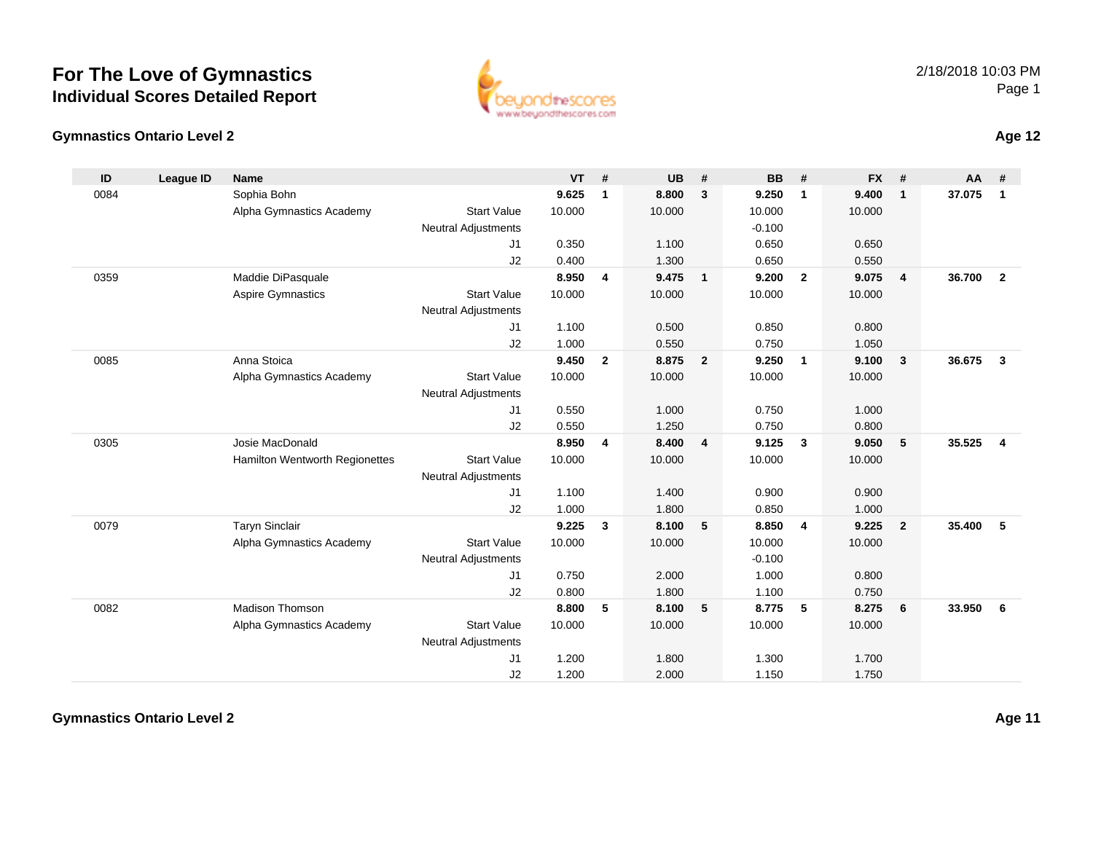

#### **Gymnastics Ontario Level 2**

| ID   | <b>League ID</b> | <b>Name</b>                    |                            | <b>VT</b> | #                       | <b>UB</b> | #                        | <b>BB</b> | #                       | <b>FX</b> | #              | AA     | #              |
|------|------------------|--------------------------------|----------------------------|-----------|-------------------------|-----------|--------------------------|-----------|-------------------------|-----------|----------------|--------|----------------|
| 0084 |                  | Sophia Bohn                    |                            | 9.625     | $\mathbf 1$             | 8.800     | 3                        | 9.250     | $\mathbf{1}$            | 9.400     | $\mathbf{1}$   | 37.075 | $\mathbf{1}$   |
|      |                  | Alpha Gymnastics Academy       | <b>Start Value</b>         | 10.000    |                         | 10.000    |                          | 10.000    |                         | 10.000    |                |        |                |
|      |                  |                                | <b>Neutral Adjustments</b> |           |                         |           |                          | $-0.100$  |                         |           |                |        |                |
|      |                  |                                | J1                         | 0.350     |                         | 1.100     |                          | 0.650     |                         | 0.650     |                |        |                |
|      |                  |                                | J2                         | 0.400     |                         | 1.300     |                          | 0.650     |                         | 0.550     |                |        |                |
| 0359 |                  | Maddie DiPasquale              |                            | 8.950     | $\overline{\mathbf{4}}$ | 9.475     | $\overline{\phantom{0}}$ | 9.200     | $\overline{2}$          | 9.075     | $\overline{4}$ | 36.700 | $\overline{2}$ |
|      |                  | <b>Aspire Gymnastics</b>       | <b>Start Value</b>         | 10.000    |                         | 10.000    |                          | 10.000    |                         | 10.000    |                |        |                |
|      |                  |                                | <b>Neutral Adjustments</b> |           |                         |           |                          |           |                         |           |                |        |                |
|      |                  |                                | J1                         | 1.100     |                         | 0.500     |                          | 0.850     |                         | 0.800     |                |        |                |
|      |                  |                                | J2                         | 1.000     |                         | 0.550     |                          | 0.750     |                         | 1.050     |                |        |                |
| 0085 |                  | Anna Stoica                    |                            | 9.450     | $\overline{2}$          | 8.875     | $\overline{\mathbf{2}}$  | 9.250     | $\overline{1}$          | 9.100     | $\mathbf{3}$   | 36.675 | $\mathbf{3}$   |
|      |                  | Alpha Gymnastics Academy       | <b>Start Value</b>         | 10.000    |                         | 10.000    |                          | 10.000    |                         | 10.000    |                |        |                |
|      |                  |                                | <b>Neutral Adjustments</b> |           |                         |           |                          |           |                         |           |                |        |                |
|      |                  |                                | J1                         | 0.550     |                         | 1.000     |                          | 0.750     |                         | 1.000     |                |        |                |
|      |                  |                                | J2                         | 0.550     |                         | 1.250     |                          | 0.750     |                         | 0.800     |                |        |                |
| 0305 |                  | Josie MacDonald                |                            | 8.950     | 4                       | 8.400     | $\overline{4}$           | 9.125     | $\overline{\mathbf{3}}$ | 9.050     | 5              | 35.525 | $\overline{4}$ |
|      |                  | Hamilton Wentworth Regionettes | <b>Start Value</b>         | 10.000    |                         | 10.000    |                          | 10.000    |                         | 10.000    |                |        |                |
|      |                  |                                | <b>Neutral Adjustments</b> |           |                         |           |                          |           |                         |           |                |        |                |
|      |                  |                                | J1                         | 1.100     |                         | 1.400     |                          | 0.900     |                         | 0.900     |                |        |                |
|      |                  |                                | J2                         | 1.000     |                         | 1.800     |                          | 0.850     |                         | 1.000     |                |        |                |
| 0079 |                  | <b>Taryn Sinclair</b>          |                            | 9.225     | 3                       | 8.100     | 5                        | 8.850     | -4                      | 9.225     | $\overline{2}$ | 35.400 | 5              |
|      |                  | Alpha Gymnastics Academy       | <b>Start Value</b>         | 10.000    |                         | 10.000    |                          | 10.000    |                         | 10.000    |                |        |                |
|      |                  |                                | <b>Neutral Adjustments</b> |           |                         |           |                          | $-0.100$  |                         |           |                |        |                |
|      |                  |                                | J1                         | 0.750     |                         | 2.000     |                          | 1.000     |                         | 0.800     |                |        |                |
|      |                  |                                | J2                         | 0.800     |                         | 1.800     |                          | 1.100     |                         | 0.750     |                |        |                |
| 0082 |                  | <b>Madison Thomson</b>         |                            | 8.800     | 5                       | 8.100     | $-5$                     | 8.775     | 5                       | 8.275     | 6              | 33.950 | 6              |
|      |                  | Alpha Gymnastics Academy       | <b>Start Value</b>         | 10.000    |                         | 10.000    |                          | 10.000    |                         | 10.000    |                |        |                |
|      |                  |                                | <b>Neutral Adjustments</b> |           |                         |           |                          |           |                         |           |                |        |                |
|      |                  |                                | J <sub>1</sub>             | 1.200     |                         | 1.800     |                          | 1.300     |                         | 1.700     |                |        |                |
|      |                  |                                | J2                         | 1.200     |                         | 2.000     |                          | 1.150     |                         | 1.750     |                |        |                |

**Age 12**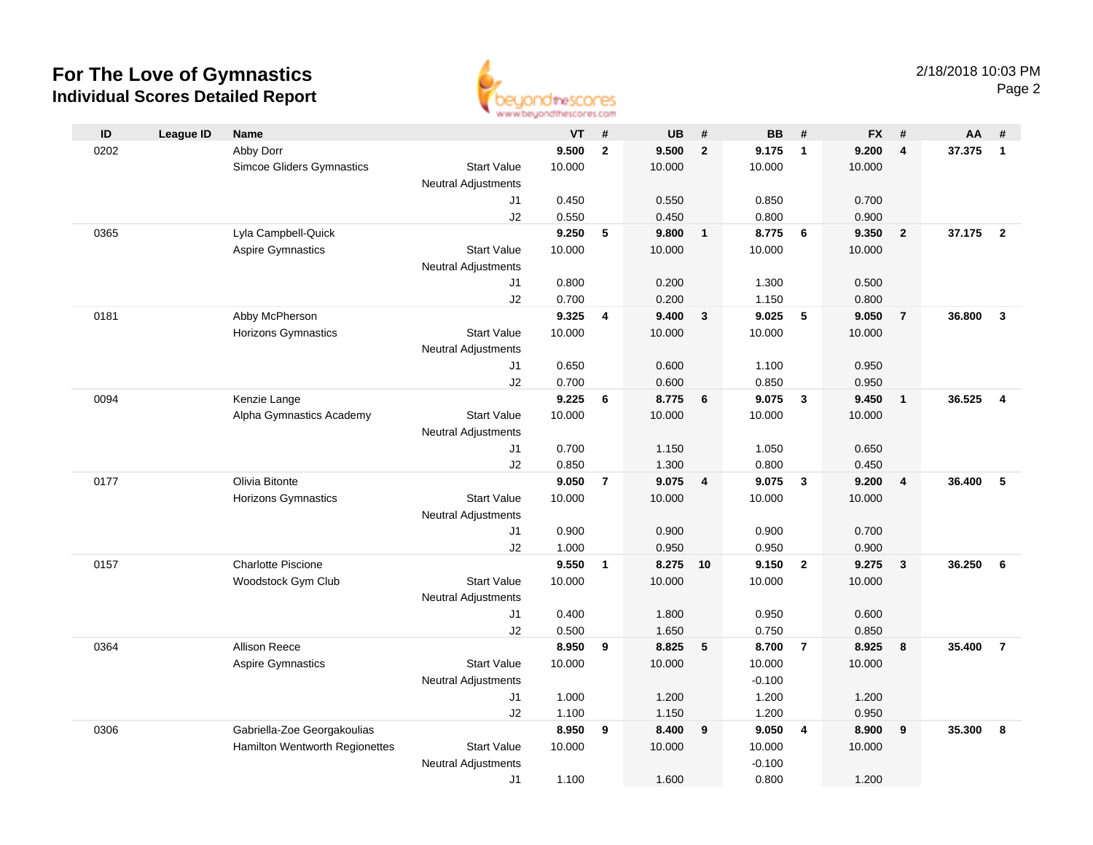

| ID   | <b>League ID</b> | Name                           |                                  | VT     | #              | <b>UB</b> | #              | <b>BB</b>         | #                       | <b>FX</b> | #                       | AA     | #                       |
|------|------------------|--------------------------------|----------------------------------|--------|----------------|-----------|----------------|-------------------|-------------------------|-----------|-------------------------|--------|-------------------------|
| 0202 |                  | Abby Dorr                      |                                  | 9.500  | $\overline{2}$ | 9.500     | $\overline{2}$ | 9.175             | $\overline{\mathbf{1}}$ | 9.200     | $\overline{4}$          | 37.375 | $\mathbf{1}$            |
|      |                  | Simcoe Gliders Gymnastics      | <b>Start Value</b>               | 10.000 |                | 10.000    |                | 10.000            |                         | 10.000    |                         |        |                         |
|      |                  |                                | <b>Neutral Adjustments</b>       |        |                |           |                |                   |                         |           |                         |        |                         |
|      |                  |                                | J1                               | 0.450  |                | 0.550     |                | 0.850             |                         | 0.700     |                         |        |                         |
|      |                  |                                | J2                               | 0.550  |                | 0.450     |                | 0.800             |                         | 0.900     |                         |        |                         |
| 0365 |                  | Lyla Campbell-Quick            |                                  | 9.250  | 5              | 9.800     | $\overline{1}$ | 8.775             | 6                       | 9.350     | $\overline{2}$          | 37.175 | $\overline{2}$          |
|      |                  | Aspire Gymnastics              | <b>Start Value</b>               | 10.000 |                | 10.000    |                | 10.000            |                         | 10.000    |                         |        |                         |
|      |                  |                                | <b>Neutral Adjustments</b>       |        |                |           |                |                   |                         |           |                         |        |                         |
|      |                  |                                | J1                               | 0.800  |                | 0.200     |                | 1.300             |                         | 0.500     |                         |        |                         |
|      |                  |                                | J2                               | 0.700  |                | 0.200     |                | 1.150             |                         | 0.800     |                         |        |                         |
| 0181 |                  | Abby McPherson                 |                                  | 9.325  | 4              | 9.400     | $\mathbf{3}$   | 9.025             | 5                       | 9.050     | $\overline{7}$          | 36.800 | $\overline{3}$          |
|      |                  | Horizons Gymnastics            | <b>Start Value</b>               | 10.000 |                | 10.000    |                | 10.000            |                         | 10.000    |                         |        |                         |
|      |                  |                                | <b>Neutral Adjustments</b>       |        |                |           |                |                   |                         |           |                         |        |                         |
|      |                  |                                | J1                               | 0.650  |                | 0.600     |                | 1.100             |                         | 0.950     |                         |        |                         |
|      |                  |                                | J2                               | 0.700  |                | 0.600     |                | 0.850             |                         | 0.950     |                         |        |                         |
| 0094 |                  | Kenzie Lange                   |                                  | 9.225  | 6              | 8.775     | 6              | 9.075             | $\overline{\mathbf{3}}$ | 9.450     | $\overline{\mathbf{1}}$ | 36.525 | $\overline{\mathbf{4}}$ |
|      |                  | Alpha Gymnastics Academy       | <b>Start Value</b>               | 10.000 |                | 10.000    |                | 10.000            |                         | 10.000    |                         |        |                         |
|      |                  |                                | <b>Neutral Adjustments</b>       |        |                |           |                |                   |                         |           |                         |        |                         |
|      |                  |                                | J1                               | 0.700  |                | 1.150     |                | 1.050             |                         | 0.650     |                         |        |                         |
|      |                  |                                | J2                               | 0.850  |                | 1.300     |                | 0.800             |                         | 0.450     |                         |        |                         |
| 0177 |                  | Olivia Bitonte                 |                                  | 9.050  | $\overline{7}$ | 9.075     | 4              | 9.075             | $\overline{\mathbf{3}}$ | 9.200     | $\overline{4}$          | 36.400 | 5                       |
|      |                  | Horizons Gymnastics            | <b>Start Value</b>               | 10.000 |                | 10.000    |                | 10.000            |                         | 10.000    |                         |        |                         |
|      |                  |                                | <b>Neutral Adjustments</b>       |        |                |           |                |                   |                         |           |                         |        |                         |
|      |                  |                                | J1                               | 0.900  |                | 0.900     |                | 0.900             |                         | 0.700     |                         |        |                         |
|      |                  |                                | J2                               | 1.000  |                | 0.950     |                | 0.950             |                         | 0.900     |                         |        |                         |
| 0157 |                  | <b>Charlotte Piscione</b>      |                                  | 9.550  | $\mathbf{1}$   | 8.275 10  |                | 9.150             | $\overline{\mathbf{2}}$ | 9.275     | $\mathbf{3}$            | 36.250 | 6                       |
|      |                  | Woodstock Gym Club             | <b>Start Value</b>               | 10.000 |                | 10.000    |                | 10.000            |                         | 10.000    |                         |        |                         |
|      |                  |                                | <b>Neutral Adjustments</b>       |        |                |           |                |                   |                         |           |                         |        |                         |
|      |                  |                                | J1                               | 0.400  |                | 1.800     |                | 0.950             |                         | 0.600     |                         |        |                         |
|      |                  |                                | J2                               | 0.500  |                | 1.650     |                | 0.750             |                         | 0.850     |                         |        | $\overline{7}$          |
| 0364 |                  | <b>Allison Reece</b>           |                                  | 8.950  | 9              | 8.825     | 5              | 8.700             | $\overline{7}$          | 8.925     | 8                       | 35,400 |                         |
|      |                  | <b>Aspire Gymnastics</b>       | <b>Start Value</b>               | 10.000 |                | 10.000    |                | 10.000            |                         | 10.000    |                         |        |                         |
|      |                  |                                | <b>Neutral Adjustments</b><br>J1 | 1.000  |                | 1.200     |                | $-0.100$<br>1.200 |                         | 1.200     |                         |        |                         |
|      |                  |                                | J2                               | 1.100  |                | 1.150     |                | 1.200             |                         | 0.950     |                         |        |                         |
| 0306 |                  | Gabriella-Zoe Georgakoulias    |                                  | 8.950  | 9              | 8.400     | 9              | 9.050             | $\overline{4}$          | 8.900     | 9                       | 35.300 | 8                       |
|      |                  | Hamilton Wentworth Regionettes | <b>Start Value</b>               | 10.000 |                | 10.000    |                | 10.000            |                         | 10.000    |                         |        |                         |
|      |                  |                                | <b>Neutral Adjustments</b>       |        |                |           |                | $-0.100$          |                         |           |                         |        |                         |
|      |                  |                                | J1                               | 1.100  |                | 1.600     |                | 0.800             |                         | 1.200     |                         |        |                         |
|      |                  |                                |                                  |        |                |           |                |                   |                         |           |                         |        |                         |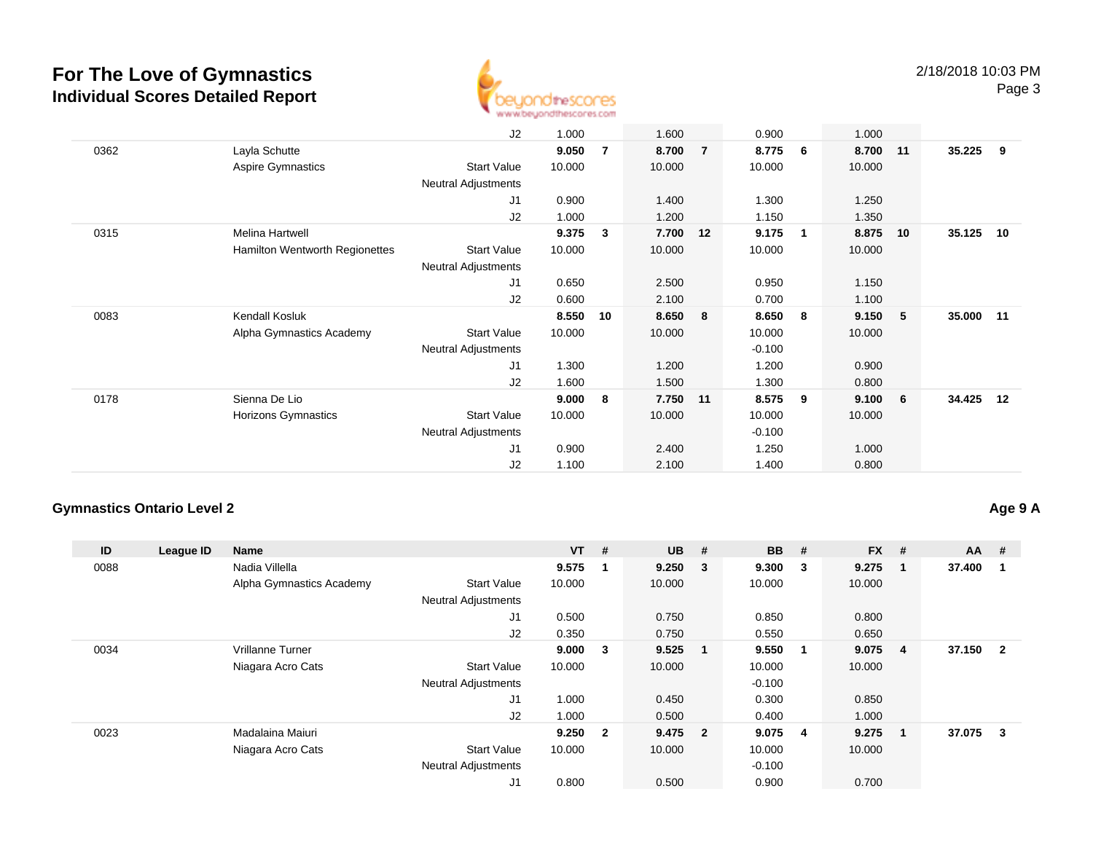

|      |                                | J2                         | 1.000  |                | 1.600    |                | 0.900    |              | 1.000  |    |           |     |
|------|--------------------------------|----------------------------|--------|----------------|----------|----------------|----------|--------------|--------|----|-----------|-----|
| 0362 | Layla Schutte                  |                            | 9.050  | $\overline{7}$ | 8.700    | $\overline{7}$ | 8.775    | 6            | 8.700  | 11 | 35.225    | - 9 |
|      | Aspire Gymnastics              | <b>Start Value</b>         | 10.000 |                | 10.000   |                | 10.000   |              | 10.000 |    |           |     |
|      |                                | Neutral Adjustments        |        |                |          |                |          |              |        |    |           |     |
|      |                                | J1                         | 0.900  |                | 1.400    |                | 1.300    |              | 1.250  |    |           |     |
|      |                                | J2                         | 1.000  |                | 1.200    |                | 1.150    |              | 1.350  |    |           |     |
| 0315 | Melina Hartwell                |                            | 9.375  | 3              | 7.700 12 |                | 9.175    | $\mathbf{1}$ | 8.875  | 10 | 35.125    | 10  |
|      | Hamilton Wentworth Regionettes | <b>Start Value</b>         | 10.000 |                | 10.000   |                | 10.000   |              | 10.000 |    |           |     |
|      |                                | Neutral Adjustments        |        |                |          |                |          |              |        |    |           |     |
|      |                                | J1                         | 0.650  |                | 2.500    |                | 0.950    |              | 1.150  |    |           |     |
|      |                                | J2                         | 0.600  |                | 2.100    |                | 0.700    |              | 1.100  |    |           |     |
| 0083 | Kendall Kosluk                 |                            | 8.550  | 10             | 8.650    | 8              | 8.650    | 8            | 9.150  | 5  | 35.000 11 |     |
|      | Alpha Gymnastics Academy       | <b>Start Value</b>         | 10.000 |                | 10.000   |                | 10.000   |              | 10.000 |    |           |     |
|      |                                | <b>Neutral Adjustments</b> |        |                |          |                | $-0.100$ |              |        |    |           |     |
|      |                                | J <sub>1</sub>             | 1.300  |                | 1.200    |                | 1.200    |              | 0.900  |    |           |     |
|      |                                | J2                         | 1.600  |                | 1.500    |                | 1.300    |              | 0.800  |    |           |     |
| 0178 | Sienna De Lio                  |                            | 9.000  | 8              | 7.750 11 |                | 8.575    | 9            | 9.100  | 6  | 34.425    | 12  |
|      | Horizons Gymnastics            | <b>Start Value</b>         | 10.000 |                | 10.000   |                | 10.000   |              | 10.000 |    |           |     |
|      |                                | <b>Neutral Adjustments</b> |        |                |          |                | $-0.100$ |              |        |    |           |     |
|      |                                | J1                         | 0.900  |                | 2.400    |                | 1.250    |              | 1.000  |    |           |     |
|      |                                | J2                         | 1.100  |                | 2.100    |                | 1.400    |              | 0.800  |    |           |     |

### **Gymnastics Ontario Level 2**

**Age 9 A**

| ID   | League ID | <b>Name</b>              |                            | $VT$ # |                | <b>UB</b> | #                       | <b>BB</b> | #                       | <b>FX</b> | #                       | <b>AA</b> | #              |
|------|-----------|--------------------------|----------------------------|--------|----------------|-----------|-------------------------|-----------|-------------------------|-----------|-------------------------|-----------|----------------|
| 0088 |           | Nadia Villella           |                            | 9.575  | 1              | 9.250     | $\overline{\mathbf{3}}$ | 9.300     | $\mathbf{3}$            | 9.275     | -1                      | 37.400    |                |
|      |           | Alpha Gymnastics Academy | <b>Start Value</b>         | 10.000 |                | 10.000    |                         | 10.000    |                         | 10.000    |                         |           |                |
|      |           |                          | <b>Neutral Adjustments</b> |        |                |           |                         |           |                         |           |                         |           |                |
|      |           |                          | J1                         | 0.500  |                | 0.750     |                         | 0.850     |                         | 0.800     |                         |           |                |
|      |           |                          | J2                         | 0.350  |                | 0.750     |                         | 0.550     |                         | 0.650     |                         |           |                |
| 0034 |           | Vrillanne Turner         |                            | 9.000  | 3              | 9.525     | - 1                     | 9.550     | $\overline{\mathbf{1}}$ | 9.075     | $\overline{\mathbf{4}}$ | 37.150    | $\overline{2}$ |
|      |           | Niagara Acro Cats        | <b>Start Value</b>         | 10.000 |                | 10.000    |                         | 10.000    |                         | 10.000    |                         |           |                |
|      |           |                          | <b>Neutral Adjustments</b> |        |                |           |                         | $-0.100$  |                         |           |                         |           |                |
|      |           |                          | J1                         | 1.000  |                | 0.450     |                         | 0.300     |                         | 0.850     |                         |           |                |
|      |           |                          | J2                         | 1.000  |                | 0.500     |                         | 0.400     |                         | 1.000     |                         |           |                |
| 0023 |           | Madalaina Maiuri         |                            | 9.250  | $\overline{2}$ | 9.475 2   |                         | 9.075     | $\overline{\mathbf{4}}$ | 9.275     | $\mathbf 1$             | 37.075    | 3              |
|      |           | Niagara Acro Cats        | <b>Start Value</b>         | 10.000 |                | 10.000    |                         | 10.000    |                         | 10.000    |                         |           |                |
|      |           |                          | <b>Neutral Adjustments</b> |        |                |           |                         | $-0.100$  |                         |           |                         |           |                |
|      |           |                          | J1                         | 0.800  |                | 0.500     |                         | 0.900     |                         | 0.700     |                         |           |                |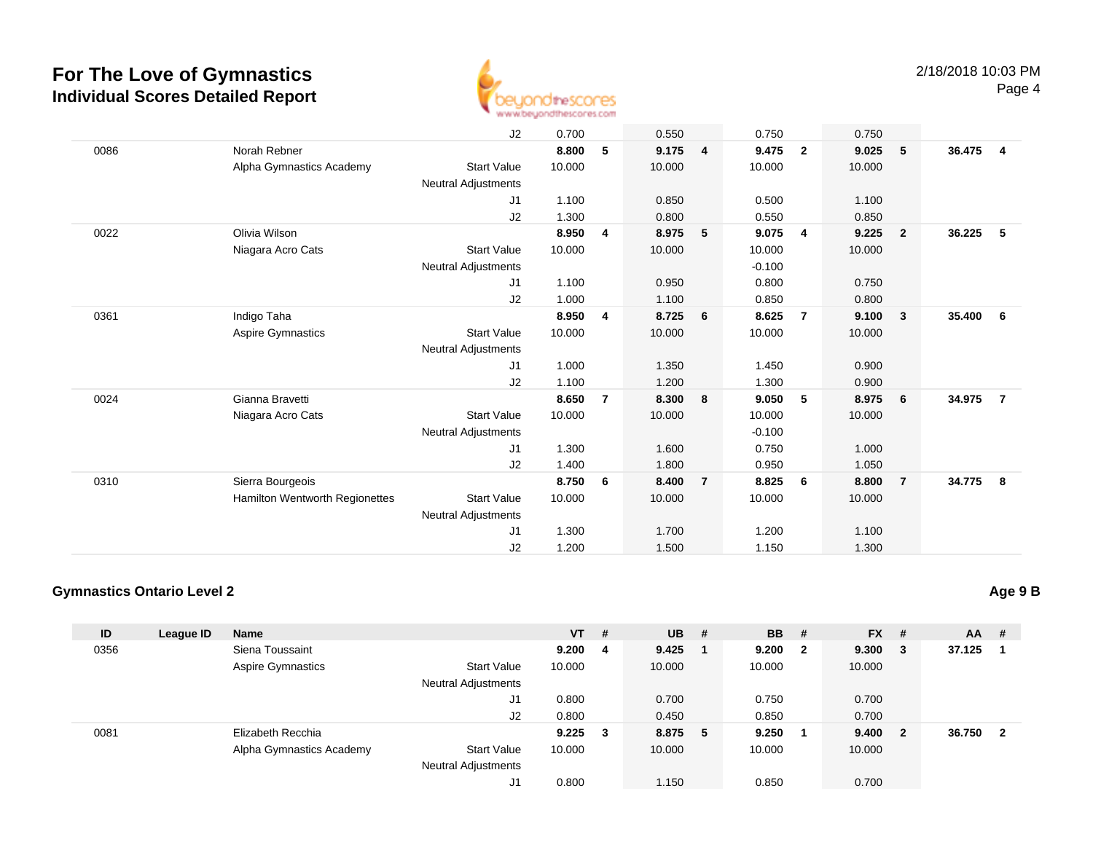

|      |                                | J2                         | 0.700  |                | 0.550  |                | 0.750    |                | 0.750  |                         |        |                         |
|------|--------------------------------|----------------------------|--------|----------------|--------|----------------|----------|----------------|--------|-------------------------|--------|-------------------------|
| 0086 | Norah Rebner                   |                            | 8.800  | 5              | 9.175  | $\overline{4}$ | 9.475    | $\overline{2}$ | 9.025  | 5                       | 36.475 | $\overline{\mathbf{4}}$ |
|      | Alpha Gymnastics Academy       | <b>Start Value</b>         | 10.000 |                | 10.000 |                | 10.000   |                | 10.000 |                         |        |                         |
|      |                                | Neutral Adjustments        |        |                |        |                |          |                |        |                         |        |                         |
|      |                                | J1                         | 1.100  |                | 0.850  |                | 0.500    |                | 1.100  |                         |        |                         |
|      |                                | J2                         | 1.300  |                | 0.800  |                | 0.550    |                | 0.850  |                         |        |                         |
| 0022 | Olivia Wilson                  |                            | 8.950  | 4              | 8.975  | 5              | 9.075    | 4              | 9.225  | $\overline{\mathbf{2}}$ | 36.225 | - 5                     |
|      | Niagara Acro Cats              | <b>Start Value</b>         | 10.000 |                | 10.000 |                | 10.000   |                | 10.000 |                         |        |                         |
|      |                                | <b>Neutral Adjustments</b> |        |                |        |                | $-0.100$ |                |        |                         |        |                         |
|      |                                | J1                         | 1.100  |                | 0.950  |                | 0.800    |                | 0.750  |                         |        |                         |
|      |                                | J2                         | 1.000  |                | 1.100  |                | 0.850    |                | 0.800  |                         |        |                         |
| 0361 | Indigo Taha                    |                            | 8.950  | 4              | 8.725  | 6              | 8.625    | $\overline{7}$ | 9.100  | $\overline{\mathbf{3}}$ | 35.400 | 6                       |
|      | Aspire Gymnastics              | <b>Start Value</b>         | 10.000 |                | 10.000 |                | 10.000   |                | 10.000 |                         |        |                         |
|      |                                | <b>Neutral Adjustments</b> |        |                |        |                |          |                |        |                         |        |                         |
|      |                                | J1                         | 1.000  |                | 1.350  |                | 1.450    |                | 0.900  |                         |        |                         |
|      |                                | J2                         | 1.100  |                | 1.200  |                | 1.300    |                | 0.900  |                         |        |                         |
| 0024 | Gianna Bravetti                |                            | 8.650  | $\overline{7}$ | 8.300  | 8              | 9.050    | 5              | 8.975  | $6\overline{6}$         | 34.975 | $\overline{7}$          |
|      | Niagara Acro Cats              | <b>Start Value</b>         | 10.000 |                | 10.000 |                | 10.000   |                | 10.000 |                         |        |                         |
|      |                                | <b>Neutral Adjustments</b> |        |                |        |                | $-0.100$ |                |        |                         |        |                         |
|      |                                | J1                         | 1.300  |                | 1.600  |                | 0.750    |                | 1.000  |                         |        |                         |
|      |                                | J2                         | 1.400  |                | 1.800  |                | 0.950    |                | 1.050  |                         |        |                         |
| 0310 | Sierra Bourgeois               |                            | 8.750  | 6              | 8.400  | $\overline{7}$ | 8.825    | 6              | 8.800  | $\overline{7}$          | 34.775 | - 8                     |
|      | Hamilton Wentworth Regionettes | <b>Start Value</b>         | 10.000 |                | 10.000 |                | 10.000   |                | 10.000 |                         |        |                         |
|      |                                | <b>Neutral Adjustments</b> |        |                |        |                |          |                |        |                         |        |                         |
|      |                                | J1                         | 1.300  |                | 1.700  |                | 1.200    |                | 1.100  |                         |        |                         |
|      |                                | J2                         | 1.200  |                | 1.500  |                | 1.150    |                | 1.300  |                         |        |                         |

### **Gymnastics Ontario Level 2**

| ID   | League ID | <b>Name</b>              |                            | $VT$ #      |   | $UB$ #  | <b>BB</b> | - #                     | <b>FX</b> | - #                     | <b>AA</b> | #  |
|------|-----------|--------------------------|----------------------------|-------------|---|---------|-----------|-------------------------|-----------|-------------------------|-----------|----|
| 0356 |           | Siena Toussaint          |                            | 9.200       | 4 | 9.425   | 9.200     | $\overline{\mathbf{2}}$ | 9.300     | - 3                     | 37.125    |    |
|      |           | <b>Aspire Gymnastics</b> | <b>Start Value</b>         | 10.000      |   | 10.000  | 10.000    |                         | 10.000    |                         |           |    |
|      |           |                          | <b>Neutral Adjustments</b> |             |   |         |           |                         |           |                         |           |    |
|      |           |                          | J1                         | 0.800       |   | 0.700   | 0.750     |                         | 0.700     |                         |           |    |
|      |           |                          | J2                         | 0.800       |   | 0.450   | 0.850     |                         | 0.700     |                         |           |    |
| 0081 |           | Elizabeth Recchia        |                            | $9.225 \t3$ |   | 8.875 5 | 9.250     |                         | 9.400     | $\overline{\mathbf{2}}$ | 36.750    | -2 |
|      |           | Alpha Gymnastics Academy | <b>Start Value</b>         | 10.000      |   | 10.000  | 10.000    |                         | 10.000    |                         |           |    |
|      |           |                          | <b>Neutral Adjustments</b> |             |   |         |           |                         |           |                         |           |    |
|      |           |                          | J1                         | 0.800       |   | 1.150   | 0.850     |                         | 0.700     |                         |           |    |

**Age 9 B**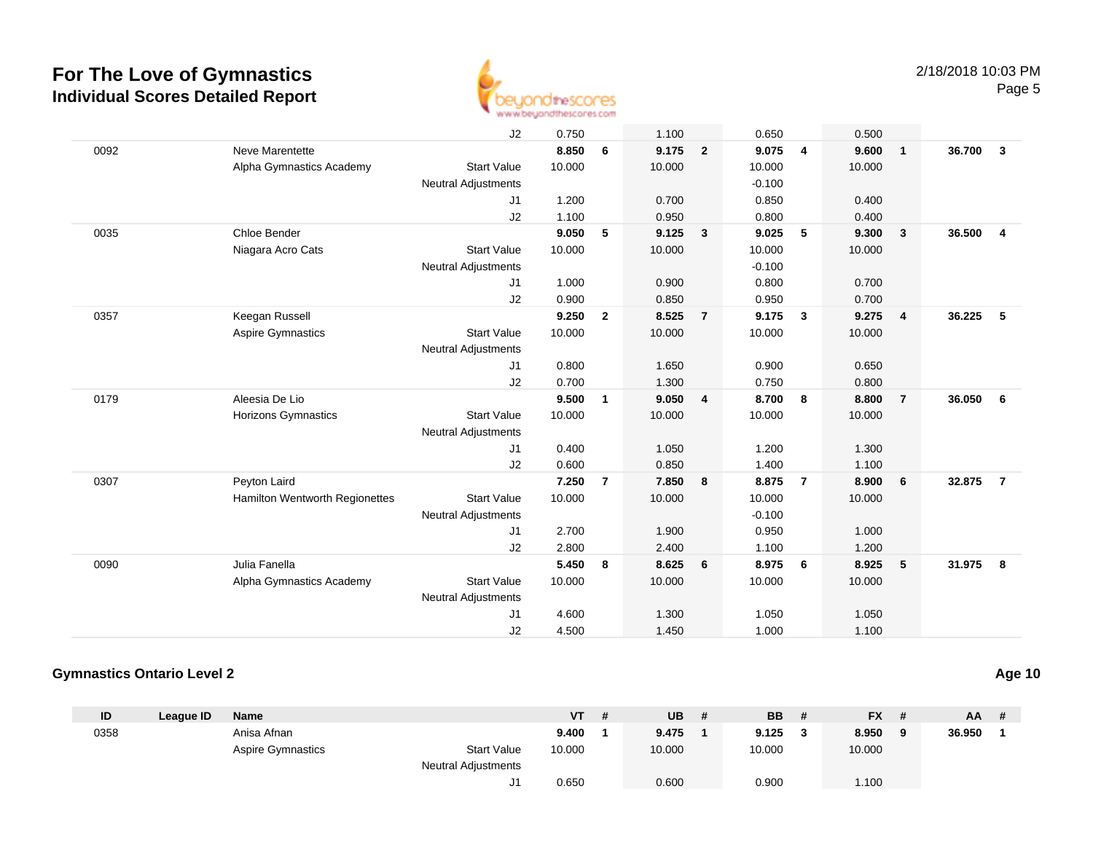

|      |                                | J2                         | 0.750  |                | 1.100  |                | 0.650    |                | 0.500  |                |        |                |
|------|--------------------------------|----------------------------|--------|----------------|--------|----------------|----------|----------------|--------|----------------|--------|----------------|
| 0092 | Neve Marentette                |                            | 8.850  | 6              | 9.175  | $\overline{2}$ | 9.075    | 4              | 9.600  | $\overline{1}$ | 36.700 | $\mathbf{3}$   |
|      | Alpha Gymnastics Academy       | <b>Start Value</b>         | 10.000 |                | 10.000 |                | 10.000   |                | 10.000 |                |        |                |
|      |                                | <b>Neutral Adjustments</b> |        |                |        |                | $-0.100$ |                |        |                |        |                |
|      |                                | J1                         | 1.200  |                | 0.700  |                | 0.850    |                | 0.400  |                |        |                |
|      |                                | J2                         | 1.100  |                | 0.950  |                | 0.800    |                | 0.400  |                |        |                |
| 0035 | Chloe Bender                   |                            | 9.050  | 5              | 9.125  | $\mathbf{3}$   | 9.025    | 5              | 9.300  | $\mathbf{3}$   | 36.500 | $\overline{4}$ |
|      | Niagara Acro Cats              | <b>Start Value</b>         | 10.000 |                | 10.000 |                | 10.000   |                | 10.000 |                |        |                |
|      |                                | <b>Neutral Adjustments</b> |        |                |        |                | $-0.100$ |                |        |                |        |                |
|      |                                | J1                         | 1.000  |                | 0.900  |                | 0.800    |                | 0.700  |                |        |                |
|      |                                | J2                         | 0.900  |                | 0.850  |                | 0.950    |                | 0.700  |                |        |                |
| 0357 | Keegan Russell                 |                            | 9.250  | $\overline{2}$ | 8.525  | $\overline{7}$ | 9.175    | $\mathbf{3}$   | 9.275  | $\overline{4}$ | 36.225 | 5              |
|      | Aspire Gymnastics              | <b>Start Value</b>         | 10.000 |                | 10.000 |                | 10.000   |                | 10.000 |                |        |                |
|      |                                | <b>Neutral Adjustments</b> |        |                |        |                |          |                |        |                |        |                |
|      |                                | J1                         | 0.800  |                | 1.650  |                | 0.900    |                | 0.650  |                |        |                |
|      |                                | J2                         | 0.700  |                | 1.300  |                | 0.750    |                | 0.800  |                |        |                |
| 0179 | Aleesia De Lio                 |                            | 9.500  | $\mathbf{1}$   | 9.050  | $\overline{4}$ | 8.700    | 8              | 8.800  | $\overline{7}$ | 36.050 | 6              |
|      | <b>Horizons Gymnastics</b>     | <b>Start Value</b>         | 10.000 |                | 10.000 |                | 10.000   |                | 10.000 |                |        |                |
|      |                                | <b>Neutral Adjustments</b> |        |                |        |                |          |                |        |                |        |                |
|      |                                | J1                         | 0.400  |                | 1.050  |                | 1.200    |                | 1.300  |                |        |                |
|      |                                | J2                         | 0.600  |                | 0.850  |                | 1.400    |                | 1.100  |                |        |                |
| 0307 | Peyton Laird                   |                            | 7.250  | $\overline{7}$ | 7.850  | 8              | 8.875    | $\overline{7}$ | 8.900  | 6              | 32.875 | $\overline{7}$ |
|      | Hamilton Wentworth Regionettes | <b>Start Value</b>         | 10.000 |                | 10.000 |                | 10.000   |                | 10.000 |                |        |                |
|      |                                | <b>Neutral Adjustments</b> |        |                |        |                | $-0.100$ |                |        |                |        |                |
|      |                                | J1                         | 2.700  |                | 1.900  |                | 0.950    |                | 1.000  |                |        |                |
|      |                                | J2                         | 2.800  |                | 2.400  |                | 1.100    |                | 1.200  |                |        |                |
| 0090 | Julia Fanella                  |                            | 5.450  | 8              | 8.625  | 6              | 8.975    | 6              | 8.925  | 5              | 31.975 | 8              |
|      | Alpha Gymnastics Academy       | <b>Start Value</b>         | 10.000 |                | 10.000 |                | 10.000   |                | 10.000 |                |        |                |
|      |                                | <b>Neutral Adjustments</b> |        |                |        |                |          |                |        |                |        |                |
|      |                                | J1                         | 4.600  |                | 1.300  |                | 1.050    |                | 1.050  |                |        |                |
|      |                                | J2                         | 4.500  |                | 1.450  |                | 1.000    |                | 1.100  |                |        |                |

### **Gymnastics Ontario Level 2**

| ID   | League ID | <b>Name</b>              |                            | <b>VT</b> | -# | UB     | # | <b>BB</b> | <b>FX</b> | #        | $AA$ # |  |
|------|-----------|--------------------------|----------------------------|-----------|----|--------|---|-----------|-----------|----------|--------|--|
| 0358 |           | Anisa Afnan              |                            | 9.400     |    | 9.475  |   | 9.125     | 8.950     | $\alpha$ | 36.950 |  |
|      |           | <b>Aspire Gymnastics</b> | <b>Start Value</b>         | 10.000    |    | 10.000 |   | 10.000    | 10.000    |          |        |  |
|      |           |                          | <b>Neutral Adjustments</b> |           |    |        |   |           |           |          |        |  |
|      |           |                          |                            | 0.650     |    | 0.600  |   | 0.900     | 1.100     |          |        |  |

**Age 10**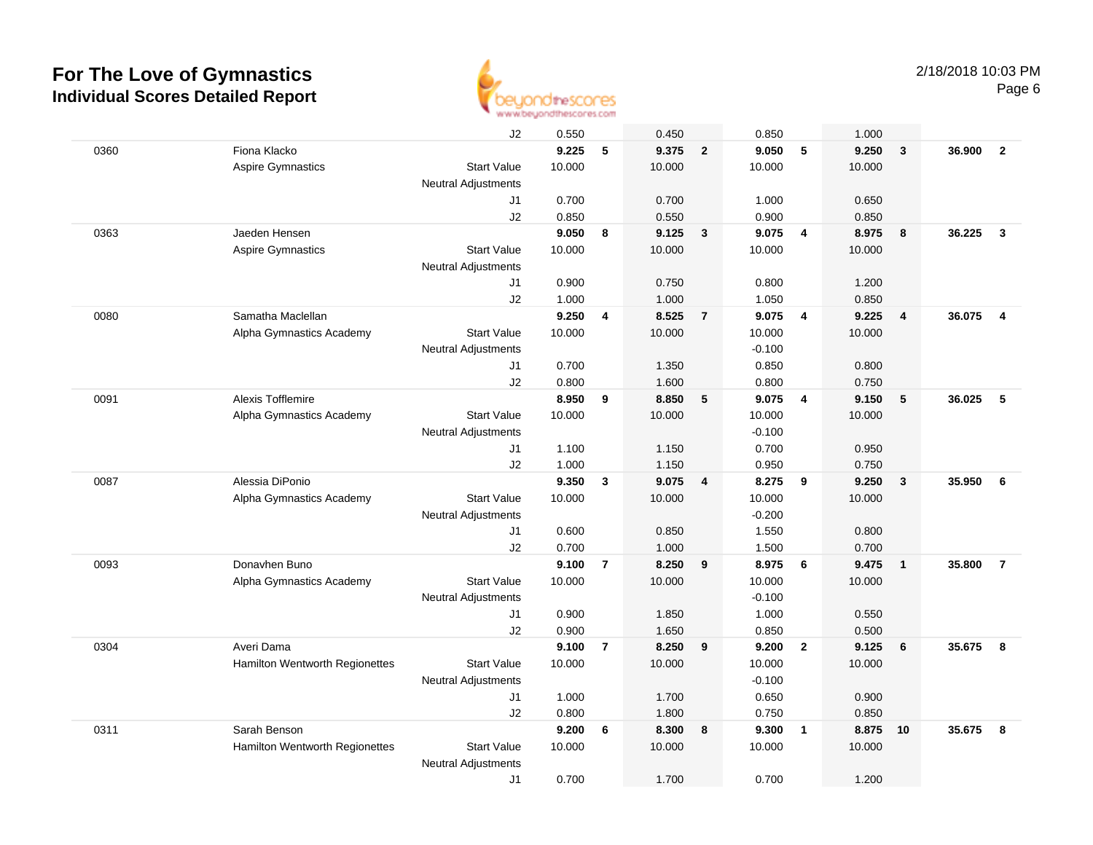

|      |                                | J2                         | 0.550  |                | 0.450  |                | 0.850    |                | 1.000  |                |        |                |
|------|--------------------------------|----------------------------|--------|----------------|--------|----------------|----------|----------------|--------|----------------|--------|----------------|
| 0360 | Fiona Klacko                   |                            | 9.225  | 5              | 9.375  | $\overline{2}$ | 9.050    | 5              | 9.250  | 3              | 36.900 | $\overline{2}$ |
|      | Aspire Gymnastics              | <b>Start Value</b>         | 10.000 |                | 10.000 |                | 10.000   |                | 10.000 |                |        |                |
|      |                                | <b>Neutral Adjustments</b> |        |                |        |                |          |                |        |                |        |                |
|      |                                | J1                         | 0.700  |                | 0.700  |                | 1.000    |                | 0.650  |                |        |                |
|      |                                | J2                         | 0.850  |                | 0.550  |                | 0.900    |                | 0.850  |                |        |                |
| 0363 | Jaeden Hensen                  |                            | 9.050  | 8              | 9.125  | $\mathbf{3}$   | 9.075    | $\overline{4}$ | 8.975  | 8              | 36.225 | $\mathbf{3}$   |
|      | <b>Aspire Gymnastics</b>       | <b>Start Value</b>         | 10.000 |                | 10.000 |                | 10.000   |                | 10.000 |                |        |                |
|      |                                | <b>Neutral Adjustments</b> |        |                |        |                |          |                |        |                |        |                |
|      |                                | J1                         | 0.900  |                | 0.750  |                | 0.800    |                | 1.200  |                |        |                |
|      |                                | J2                         | 1.000  |                | 1.000  |                | 1.050    |                | 0.850  |                |        |                |
| 0080 | Samatha Maclellan              |                            | 9.250  | $\overline{4}$ | 8.525  | $\overline{7}$ | 9.075    | $\overline{4}$ | 9.225  | $\overline{4}$ | 36.075 | $\overline{4}$ |
|      | Alpha Gymnastics Academy       | <b>Start Value</b>         | 10.000 |                | 10.000 |                | 10.000   |                | 10.000 |                |        |                |
|      |                                | <b>Neutral Adjustments</b> |        |                |        |                | $-0.100$ |                |        |                |        |                |
|      |                                | J1                         | 0.700  |                | 1.350  |                | 0.850    |                | 0.800  |                |        |                |
|      |                                | J2                         | 0.800  |                | 1.600  |                | 0.800    |                | 0.750  |                |        |                |
| 0091 | <b>Alexis Tofflemire</b>       |                            | 8.950  | 9              | 8.850  | 5              | 9.075    | $\overline{4}$ | 9.150  | 5              | 36.025 | 5              |
|      | Alpha Gymnastics Academy       | <b>Start Value</b>         | 10.000 |                | 10.000 |                | 10.000   |                | 10.000 |                |        |                |
|      |                                | <b>Neutral Adjustments</b> |        |                |        |                | $-0.100$ |                |        |                |        |                |
|      |                                | J1                         | 1.100  |                | 1.150  |                | 0.700    |                | 0.950  |                |        |                |
|      |                                | J2                         | 1.000  |                | 1.150  |                | 0.950    |                | 0.750  |                |        |                |
| 0087 | Alessia DiPonio                |                            | 9.350  | $\mathbf{3}$   | 9.075  | $\overline{4}$ | 8.275    | 9              | 9.250  | $\overline{3}$ | 35.950 | - 6            |
|      | Alpha Gymnastics Academy       | <b>Start Value</b>         | 10.000 |                | 10.000 |                | 10.000   |                | 10.000 |                |        |                |
|      |                                | <b>Neutral Adjustments</b> |        |                |        |                | $-0.200$ |                |        |                |        |                |
|      |                                | J1                         | 0.600  |                | 0.850  |                | 1.550    |                | 0.800  |                |        |                |
|      |                                | J2                         | 0.700  |                | 1.000  |                | 1.500    |                | 0.700  |                |        |                |
| 0093 | Donavhen Buno                  |                            | 9.100  | $\overline{7}$ | 8.250  | 9              | 8.975    | 6              | 9.475  | $\overline{1}$ | 35,800 | $\overline{7}$ |
|      | Alpha Gymnastics Academy       | <b>Start Value</b>         | 10.000 |                | 10.000 |                | 10.000   |                | 10.000 |                |        |                |
|      |                                | <b>Neutral Adjustments</b> |        |                |        |                | $-0.100$ |                |        |                |        |                |
|      |                                | J1                         | 0.900  |                | 1.850  |                | 1.000    |                | 0.550  |                |        |                |
|      |                                | J2                         | 0.900  |                | 1.650  |                | 0.850    |                | 0.500  |                |        |                |
| 0304 | Averi Dama                     |                            | 9.100  | $\overline{7}$ | 8.250  | 9              | 9.200    | $\overline{2}$ | 9.125  | 6              | 35.675 | 8              |
|      | Hamilton Wentworth Regionettes | <b>Start Value</b>         | 10.000 |                | 10.000 |                | 10.000   |                | 10.000 |                |        |                |
|      |                                | <b>Neutral Adjustments</b> |        |                |        |                | $-0.100$ |                |        |                |        |                |
|      |                                | J1                         | 1.000  |                | 1.700  |                | 0.650    |                | 0.900  |                |        |                |
|      |                                | J2                         | 0.800  |                | 1.800  |                | 0.750    |                | 0.850  |                |        |                |
| 0311 | Sarah Benson                   |                            | 9.200  | 6              | 8.300  | 8              | 9.300    | $\overline{1}$ | 8.875  | 10             | 35.675 | 8              |
|      | Hamilton Wentworth Regionettes | <b>Start Value</b>         | 10.000 |                | 10.000 |                | 10.000   |                | 10.000 |                |        |                |
|      |                                | <b>Neutral Adjustments</b> |        |                |        |                |          |                |        |                |        |                |
|      |                                | J1                         | 0.700  |                | 1.700  |                | 0.700    |                | 1.200  |                |        |                |
|      |                                |                            |        |                |        |                |          |                |        |                |        |                |